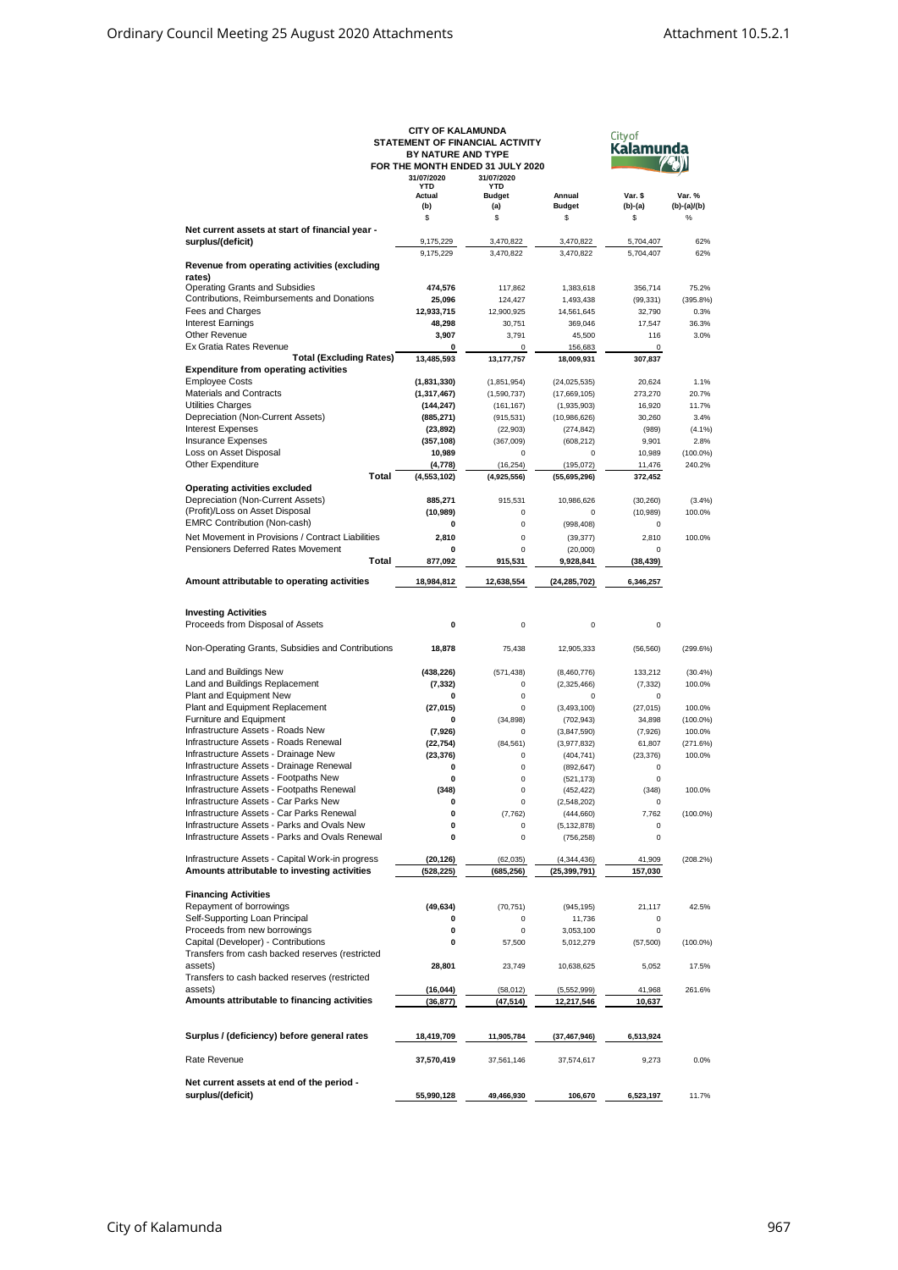| <b>CITY OF KALAMUNDA</b>                                     |                                 |               |                |                      |             |  |  |  |
|--------------------------------------------------------------|---------------------------------|---------------|----------------|----------------------|-------------|--|--|--|
|                                                              | STATEMENT OF FINANCIAL ACTIVITY |               |                | City of<br>Kalamunda |             |  |  |  |
|                                                              | BY NATURE AND TYPE              |               |                |                      |             |  |  |  |
|                                                              |                                 |               |                |                      |             |  |  |  |
| FOR THE MONTH ENDED 31 JULY 2020<br>31/07/2020<br>31/07/2020 |                                 |               |                |                      |             |  |  |  |
|                                                              | <b>YTD</b>                      | <b>YTD</b>    |                |                      |             |  |  |  |
|                                                              | Actual                          | <b>Budget</b> | Annual         | Var. \$              | Var. %      |  |  |  |
|                                                              | (b)                             | (a)           | <b>Budget</b>  | (b)-(a)              | (b)-(a)/(b) |  |  |  |
|                                                              | \$                              | \$            | \$             | \$                   | $\%$        |  |  |  |
| Net current assets at start of financial year -              |                                 |               |                |                      |             |  |  |  |
| surplus/(deficit)                                            | 9,175,229                       | 3,470,822     | 3,470,822      | 5,704,407            | 62%         |  |  |  |
|                                                              |                                 |               |                |                      |             |  |  |  |
|                                                              | 9,175,229                       | 3,470,822     | 3,470,822      | 5,704,407            | 62%         |  |  |  |
| Revenue from operating activities (excluding                 |                                 |               |                |                      |             |  |  |  |
| rates)                                                       |                                 |               |                |                      |             |  |  |  |
| <b>Operating Grants and Subsidies</b>                        | 474,576                         | 117,862       | 1,383,618      | 356,714              | 75.2%       |  |  |  |
| Contributions, Reimbursements and Donations                  | 25,096                          | 124,427       | 1,493,438      | (99, 331)            | (395.8%)    |  |  |  |
| Fees and Charges                                             | 12,933,715                      | 12,900,925    | 14,561,645     | 32,790               | 0.3%        |  |  |  |
| <b>Interest Earnings</b>                                     | 48,298                          | 30,751        | 369,046        | 17,547               | 36.3%       |  |  |  |
| <b>Other Revenue</b>                                         | 3,907                           | 3,791         | 45,500         | 116                  | 3.0%        |  |  |  |
| Ex Gratia Rates Revenue                                      | 0                               | 0             | 156,683        | 0                    |             |  |  |  |
| <b>Total (Excluding Rates)</b>                               | 13,485,593                      | 13, 177, 757  | 18,009,931     | 307,837              |             |  |  |  |
|                                                              |                                 |               |                |                      |             |  |  |  |
| <b>Expenditure from operating activities</b>                 |                                 |               |                |                      |             |  |  |  |
| <b>Employee Costs</b>                                        | (1, 831, 330)                   | (1,851,954)   | (24, 025, 535) | 20,624               | 1.1%        |  |  |  |
| Materials and Contracts                                      | (1, 317, 467)                   | (1,590,737)   | (17,669,105)   | 273,270              | 20.7%       |  |  |  |
| Utilities Charges                                            | (144, 247)                      | (161, 167)    | (1,935,903)    | 16,920               | 11.7%       |  |  |  |
| Depreciation (Non-Current Assets)                            | (885, 271)                      | (915, 531)    | (10,986,626)   | 30,260               | 3.4%        |  |  |  |
| <b>Interest Expenses</b>                                     | (23, 892)                       | (22, 903)     | (274, 842)     | (989)                | $(4.1\%)$   |  |  |  |
| <b>Insurance Expenses</b>                                    | (357, 108)                      | (367,009)     | (608, 212)     | 9,901                | 2.8%        |  |  |  |
|                                                              |                                 |               |                |                      |             |  |  |  |
| Loss on Asset Disposal                                       | 10,989                          | 0             | 0              | 10,989               | $(100.0\%)$ |  |  |  |
| Other Expenditure                                            | (4,778)                         | (16, 254)     | (195, 072)     | 11,476               | 240.2%      |  |  |  |
| Total                                                        | (4, 553, 102)                   | (4,925,556)   | (55,695,296)   | 372,452              |             |  |  |  |
| <b>Operating activities excluded</b>                         |                                 |               |                |                      |             |  |  |  |
| Depreciation (Non-Current Assets)                            | 885,271                         | 915,531       | 10,986,626     | (30, 260)            | (3.4%)      |  |  |  |
| (Profit)/Loss on Asset Disposal                              | (10, 989)                       | $\pmb{0}$     | $\bf 0$        | (10, 989)            | 100.0%      |  |  |  |
| <b>EMRC Contribution (Non-cash)</b>                          | 0                               | $\mathbf 0$   |                | 0                    |             |  |  |  |
|                                                              |                                 |               | (998, 408)     |                      |             |  |  |  |
| Net Movement in Provisions / Contract Liabilities            | 2,810                           | $\mathbf 0$   | (39, 377)      | 2,810                | 100.0%      |  |  |  |
| Pensioners Deferred Rates Movement                           | 0                               | $\mathbf 0$   | (20,000)       | 0                    |             |  |  |  |
| Total                                                        | 877,092                         | 915,531       | 9,928,841      | (38, 439)            |             |  |  |  |
|                                                              |                                 |               |                |                      |             |  |  |  |
| Amount attributable to operating activities                  | 18,984,812                      | 12,638,554    | (24, 285, 702) | 6,346,257            |             |  |  |  |
|                                                              |                                 |               |                |                      |             |  |  |  |
|                                                              |                                 |               |                |                      |             |  |  |  |
| <b>Investing Activities</b>                                  |                                 |               |                |                      |             |  |  |  |
| Proceeds from Disposal of Assets                             | 0                               | $\pmb{0}$     | $\bf 0$        | 0                    |             |  |  |  |
|                                                              |                                 |               |                |                      |             |  |  |  |
| Non-Operating Grants, Subsidies and Contributions            | 18,878                          | 75,438        | 12,905,333     | (56, 560)            | (299.6%)    |  |  |  |
|                                                              |                                 |               |                |                      |             |  |  |  |
|                                                              |                                 |               |                |                      |             |  |  |  |
| Land and Buildings New                                       | (438, 226)                      | (571, 438)    | (8,460,776)    | 133,212              | (30.4%)     |  |  |  |
| Land and Buildings Replacement                               | (7, 332)                        | $\pmb{0}$     | (2,325,466)    | (7, 332)             | 100.0%      |  |  |  |
| Plant and Equipment New                                      | 0                               | $\pmb{0}$     | $\Omega$       | 0                    |             |  |  |  |
| Plant and Equipment Replacement                              | (27, 015)                       | $\mathbf 0$   | (3, 493, 100)  | (27, 015)            | 100.0%      |  |  |  |
| Furniture and Equipment                                      | 0                               | (34, 898)     | (702, 943)     | 34,898               | $(100.0\%)$ |  |  |  |
| Infrastructure Assets - Roads New                            |                                 | $\pmb{0}$     |                |                      |             |  |  |  |
|                                                              | (7,926)                         |               | (3,847,590)    | (7,926)              | 100.0%      |  |  |  |
| Infrastructure Assets - Roads Renewal                        | (22, 754)                       | (84, 561)     | (3,977,832)    | 61,807               | (271.6%)    |  |  |  |
| Infrastructure Assets - Drainage New                         | (23, 376)                       | $\pmb{0}$     | (404, 741)     | (23, 376)            | 100.0%      |  |  |  |
| Infrastructure Assets - Drainage Renewal                     | 0                               | $\mathbf 0$   | (892, 647)     | 0                    |             |  |  |  |
| Infrastructure Assets - Footpaths New                        | 0                               | $\pmb{0}$     | (521, 173)     | $\mathbf 0$          |             |  |  |  |
| Infrastructure Assets - Footpaths Renewal                    | (348)                           | $\mathbf 0$   | (452, 422)     | (348)                | 100.0%      |  |  |  |
| Infrastructure Assets - Car Parks New                        |                                 |               |                |                      |             |  |  |  |
| Infrastructure Assets - Car Parks Renewal                    |                                 |               | (2,548,202)    |                      |             |  |  |  |
|                                                              | 0                               | (7, 762)      | (444, 660)     | 7,762                | $(100.0\%)$ |  |  |  |
| Infrastructure Assets - Parks and Ovals New                  | 0                               | 0             | (5, 132, 878)  | 0                    |             |  |  |  |
| Infrastructure Assets - Parks and Ovals Renewal              | 0                               | $\pmb{0}$     | (756, 258)     | $\mathbf 0$          |             |  |  |  |
|                                                              |                                 |               |                |                      |             |  |  |  |
| Infrastructure Assets - Capital Work-in progress             | (20, 126)                       | (62, 035)     | (4, 344, 436)  | 41,909               | (208.2%)    |  |  |  |
| Amounts attributable to investing activities                 | (528, 225)                      | (685, 256)    | (25,399,791)   | 157,030              |             |  |  |  |
|                                                              |                                 |               |                |                      |             |  |  |  |
| <b>Financing Activities</b>                                  |                                 |               |                |                      |             |  |  |  |
|                                                              |                                 |               |                |                      |             |  |  |  |
| Repayment of borrowings                                      | (49, 634)                       | (70, 751)     | (945, 195)     | 21,117               | 42.5%       |  |  |  |
| Self-Supporting Loan Principal                               | 0                               | 0             | 11,736         | 0                    |             |  |  |  |
| Proceeds from new borrowings                                 | 0                               | 0             | 3,053,100      | 0                    |             |  |  |  |
| Capital (Developer) - Contributions                          | 0                               | 57,500        | 5,012,279      | (57, 500)            | $(100.0\%)$ |  |  |  |
| Transfers from cash backed reserves (restricted              |                                 |               |                |                      |             |  |  |  |
| assets)                                                      | 28,801                          | 23,749        | 10,638,625     | 5,052                | 17.5%       |  |  |  |
| Transfers to cash backed reserves (restricted                |                                 |               |                |                      |             |  |  |  |
|                                                              |                                 |               |                |                      |             |  |  |  |
| assets)                                                      | (16, 044)                       | (58, 012)     | (5,552,999)    | 41,968               | 261.6%      |  |  |  |
| Amounts attributable to financing activities                 | (36, 877)                       | (47, 514)     | 12,217,546     | 10,637               |             |  |  |  |
|                                                              |                                 |               |                |                      |             |  |  |  |
|                                                              |                                 |               |                |                      |             |  |  |  |
| Surplus / (deficiency) before general rates                  | 18,419,709                      | 11,905,784    | (37,467,946)   | 6,513,924            |             |  |  |  |
|                                                              |                                 |               |                |                      |             |  |  |  |
| Rate Revenue                                                 |                                 |               |                |                      | 0.0%        |  |  |  |
|                                                              | 37,570,419                      | 37,561,146    | 37,574,617     | 9,273                |             |  |  |  |
|                                                              |                                 |               |                |                      |             |  |  |  |
| Net current assets at end of the period -                    |                                 |               |                |                      |             |  |  |  |
| surplus/(deficit)                                            | 55,990,128                      | 49,466,930    | 106,670        | 6,523,197            | 11.7%       |  |  |  |